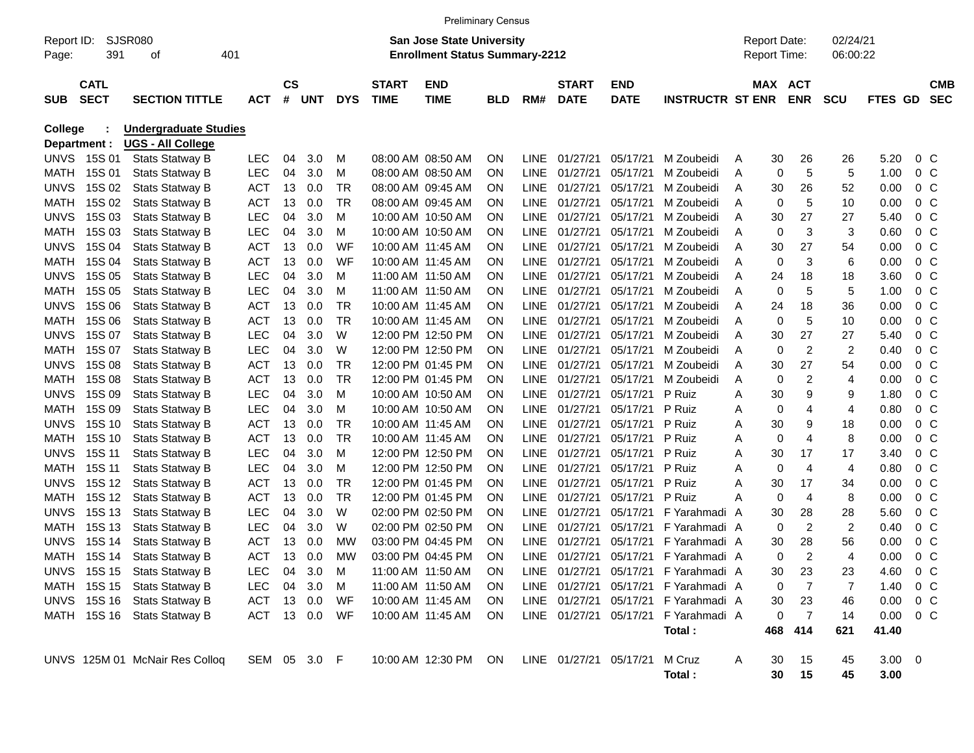|                                                                                                                                                                                                |                            |                                                  |  |                          |                |              |                        |                             | <b>Preliminary Census</b>              |            |                            |                             |                           |                          |         |             |                |                |              |                                  |                          |
|------------------------------------------------------------------------------------------------------------------------------------------------------------------------------------------------|----------------------------|--------------------------------------------------|--|--------------------------|----------------|--------------|------------------------|-----------------------------|----------------------------------------|------------|----------------------------|-----------------------------|---------------------------|--------------------------|---------|-------------|----------------|----------------|--------------|----------------------------------|--------------------------|
| SJSR080<br><b>San Jose State University</b><br>02/24/21<br><b>Report Date:</b><br>Report ID:<br>391<br>401<br><b>Enrollment Status Summary-2212</b><br>Report Time:<br>06:00:22<br>οf<br>Page: |                            |                                                  |  |                          |                |              |                        |                             |                                        |            |                            |                             |                           |                          |         |             |                |                |              |                                  |                          |
| <b>SUB</b>                                                                                                                                                                                     | <b>CATL</b><br><b>SECT</b> | <b>SECTION TITTLE</b>                            |  | <b>ACT</b>               | <b>CS</b><br># | UNT          | <b>DYS</b>             | <b>START</b><br><b>TIME</b> | <b>END</b><br><b>TIME</b>              | <b>BLD</b> | RM#                        | <b>START</b><br><b>DATE</b> | <b>END</b><br><b>DATE</b> | <b>INSTRUCTR ST ENR</b>  | MAX ACT |             | <b>ENR</b>     | <b>SCU</b>     | FTES GD      |                                  | <b>CMB</b><br><b>SEC</b> |
| <b>College</b>                                                                                                                                                                                 |                            | <b>Undergraduate Studies</b>                     |  |                          |                |              |                        |                             |                                        |            |                            |                             |                           |                          |         |             |                |                |              |                                  |                          |
|                                                                                                                                                                                                | Department :               | <b>UGS - All College</b>                         |  |                          |                |              |                        |                             |                                        |            |                            |                             |                           |                          |         |             |                |                |              |                                  |                          |
| <b>UNVS</b>                                                                                                                                                                                    | 15S 01                     | <b>Stats Statway B</b>                           |  | <b>LEC</b>               | 04             | 3.0          | M                      |                             | 08:00 AM 08:50 AM                      | ΟN         | <b>LINE</b>                | 01/27/21                    | 05/17/21                  | M Zoubeidi               | A       | 30          | 26             | 26             | 5.20         | $0\,C$                           |                          |
| <b>MATH</b>                                                                                                                                                                                    | 15S 01                     | <b>Stats Statway B</b>                           |  | <b>LEC</b>               | 04             | 3.0          | M                      |                             | 08:00 AM 08:50 AM                      | ON         | <b>LINE</b>                | 01/27/21                    | 05/17/21                  | M Zoubeidi               | Α       | 0           | 5              | 5              | 1.00         | 0 <sup>o</sup>                   |                          |
| <b>UNVS</b>                                                                                                                                                                                    | 15S 02                     | Stats Statway B                                  |  | <b>ACT</b>               | 13             | 0.0          | <b>TR</b><br><b>TR</b> |                             | 08:00 AM 09:45 AM                      | ON         | <b>LINE</b>                | 01/27/21                    | 05/17/21                  | M Zoubeidi               | Α       | 30          | 26             | 52             | 0.00         | 0 <sup>o</sup>                   |                          |
| <b>MATH</b>                                                                                                                                                                                    | 15S 02<br>15S 03           | Stats Statway B                                  |  | <b>ACT</b><br><b>LEC</b> | 13             | 0.0          | M                      |                             | 08:00 AM 09:45 AM                      | ON         | <b>LINE</b>                | 01/27/21                    | 05/17/21                  | M Zoubeidi               | Α       | 0           | 5<br>27        | 10             | 0.00         | 0 <sup>o</sup>                   |                          |
| <b>UNVS</b><br><b>MATH</b>                                                                                                                                                                     | 15S 03                     | Stats Statway B<br><b>Stats Statway B</b>        |  | LEC                      | 04<br>04       | 3.0<br>3.0   | м                      |                             | 10:00 AM 10:50 AM<br>10:00 AM 10:50 AM | ON<br>ON   | <b>LINE</b><br><b>LINE</b> | 01/27/21<br>01/27/21        | 05/17/21<br>05/17/21      | M Zoubeidi<br>M Zoubeidi | A<br>A  | 30<br>0     | 3              | 27<br>3        | 5.40<br>0.60 | 0 <sup>o</sup><br>0 <sup>o</sup> |                          |
| <b>UNVS</b>                                                                                                                                                                                    | 15S 04                     |                                                  |  | <b>ACT</b>               | 13             | 0.0          | WF                     |                             | 10:00 AM 11:45 AM                      | ON         | <b>LINE</b>                | 01/27/21                    | 05/17/21                  | M Zoubeidi               | Α       | 30          | 27             | 54             | 0.00         | 0 <sup>o</sup>                   |                          |
| <b>MATH</b>                                                                                                                                                                                    | 15S 04                     | <b>Stats Statway B</b><br><b>Stats Statway B</b> |  | <b>ACT</b>               | 13             | 0.0          | WF                     |                             | 10:00 AM 11:45 AM                      | ON         | <b>LINE</b>                | 01/27/21                    | 05/17/21                  | M Zoubeidi               | A       | 0           | 3              | 6              | 0.00         | 0 <sup>o</sup>                   |                          |
| <b>UNVS</b>                                                                                                                                                                                    | 15S 05                     | <b>Stats Statway B</b>                           |  | <b>LEC</b>               | 04             | 3.0          | м                      |                             | 11:00 AM 11:50 AM                      | ΟN         | <b>LINE</b>                | 01/27/21                    | 05/17/21                  | M Zoubeidi               | A       | 24          | 18             | 18             | 3.60         | 0 <sup>o</sup>                   |                          |
| <b>MATH</b>                                                                                                                                                                                    | 15S 05                     | Stats Statway B                                  |  | LEC                      | 04             | 3.0          | м                      |                             | 11:00 AM 11:50 AM                      | ΟN         | <b>LINE</b>                | 01/27/21                    | 05/17/21                  | M Zoubeidi               | A       | 0           | 5              | 5              | 1.00         | 0 <sup>o</sup>                   |                          |
| <b>UNVS</b>                                                                                                                                                                                    | 15S 06                     | Stats Statway B                                  |  | <b>ACT</b>               | 13             | 0.0          | <b>TR</b>              |                             | 10:00 AM 11:45 AM                      | ON         | <b>LINE</b>                | 01/27/21                    | 05/17/21                  | M Zoubeidi               | A       | 24          | 18             | 36             | 0.00         | 0 <sup>o</sup>                   |                          |
| <b>MATH</b>                                                                                                                                                                                    | 15S 06                     | <b>Stats Statway B</b>                           |  | <b>ACT</b>               | 13             | 0.0          | <b>TR</b>              |                             | 10:00 AM 11:45 AM                      | ON         | <b>LINE</b>                | 01/27/21                    | 05/17/21                  | M Zoubeidi               | A       | 0           | 5              | 10             | 0.00         | 0 <sup>o</sup>                   |                          |
| <b>UNVS</b>                                                                                                                                                                                    | 15S 07                     | Stats Statway B                                  |  | LEC                      | 04             | 3.0          | W                      |                             | 12:00 PM 12:50 PM                      | ON         | <b>LINE</b>                | 01/27/21                    | 05/17/21                  | M Zoubeidi               | Α       | 30          | 27             | 27             | 5.40         | 0 <sup>o</sup>                   |                          |
| <b>MATH</b>                                                                                                                                                                                    | 15S 07                     | Stats Statway B                                  |  | LEC                      | 04             | 3.0          | W                      |                             | 12:00 PM 12:50 PM                      | ON         | <b>LINE</b>                | 01/27/21                    | 05/17/21                  | M Zoubeidi               | A       | $\mathbf 0$ | $\overline{2}$ | $\overline{c}$ | 0.40         | 0 <sup>o</sup>                   |                          |
| <b>UNVS</b>                                                                                                                                                                                    | 15S 08                     | <b>Stats Statway B</b>                           |  | <b>ACT</b>               | 13             | 0.0          | <b>TR</b>              |                             | 12:00 PM 01:45 PM                      | ON         | <b>LINE</b>                | 01/27/21                    | 05/17/21                  | M Zoubeidi               | A       | 30          | 27             | 54             | 0.00         | 0 <sup>o</sup>                   |                          |
| <b>MATH</b>                                                                                                                                                                                    | 15S 08                     | <b>Stats Statway B</b>                           |  | <b>ACT</b>               | 13             | 0.0          | <b>TR</b>              |                             | 12:00 PM 01:45 PM                      | ON         | <b>LINE</b>                | 01/27/21                    | 05/17/21                  | M Zoubeidi               | A       | 0           | $\overline{2}$ | 4              | 0.00         | 0 <sup>o</sup>                   |                          |
| <b>UNVS</b>                                                                                                                                                                                    | 15S 09                     | <b>Stats Statway B</b>                           |  | <b>LEC</b>               | 04             | 3.0          | M                      |                             | 10:00 AM 10:50 AM                      | ON         | <b>LINE</b>                | 01/27/21                    | 05/17/21                  | P Ruiz                   | Α       | 30          | 9              | 9              | 1.80         | 0 <sup>o</sup>                   |                          |
| <b>MATH</b>                                                                                                                                                                                    | 15S 09                     | <b>Stats Statway B</b>                           |  | <b>LEC</b>               | 04             | 3.0          | M                      |                             | 10:00 AM 10:50 AM                      | ON         | <b>LINE</b>                | 01/27/21                    | 05/17/21                  | P Ruiz                   | Α       | 0           | 4              | 4              | 0.80         | 0 <sup>o</sup>                   |                          |
| <b>UNVS</b>                                                                                                                                                                                    | 15S 10                     | <b>Stats Statway B</b>                           |  | <b>ACT</b>               | 13             | 0.0          | <b>TR</b>              |                             | 10:00 AM 11:45 AM                      | ON         | <b>LINE</b>                | 01/27/21                    | 05/17/21                  | P Ruiz                   | Α       | 30          | 9              | 18             | 0.00         | 0 <sup>o</sup>                   |                          |
| <b>MATH</b>                                                                                                                                                                                    | 15S 10                     | <b>Stats Statway B</b>                           |  | <b>ACT</b>               | 13             | 0.0          | <b>TR</b>              |                             | 10:00 AM 11:45 AM                      | ON         | <b>LINE</b>                | 01/27/21                    | 05/17/21                  | P Ruiz                   | Α       | $\mathbf 0$ | $\overline{4}$ | 8              | 0.00         | 0 <sup>o</sup>                   |                          |
| <b>UNVS</b>                                                                                                                                                                                    | 15S 11                     | <b>Stats Statway B</b>                           |  | <b>LEC</b>               | 04             | 3.0          | M                      |                             | 12:00 PM 12:50 PM                      | ON         | <b>LINE</b>                | 01/27/21                    | 05/17/21                  | P Ruiz                   | Α       | 30          | 17             | 17             | 3.40         | 0 <sup>o</sup>                   |                          |
| <b>MATH</b>                                                                                                                                                                                    | 15S 11                     | Stats Statway B                                  |  | LEC                      | 04             | 3.0          | м                      |                             | 12:00 PM 12:50 PM                      | ON         | <b>LINE</b>                | 01/27/21                    | 05/17/21                  | P Ruiz                   | Α       | 0           | $\overline{4}$ | $\overline{4}$ | 0.80         | 0 <sup>o</sup>                   |                          |
| <b>UNVS</b>                                                                                                                                                                                    | 15S 12                     | Stats Statway B                                  |  | <b>ACT</b>               | 13             | 0.0          | <b>TR</b>              |                             | 12:00 PM 01:45 PM                      | ON         | <b>LINE</b>                | 01/27/21                    | 05/17/21                  | P Ruiz                   | Α       | 30          | 17             | 34             | 0.00         | 0 <sup>o</sup>                   |                          |
| <b>MATH</b>                                                                                                                                                                                    | 15S 12                     | <b>Stats Statway B</b>                           |  | <b>ACT</b>               | 13             | 0.0          | <b>TR</b>              |                             | 12:00 PM 01:45 PM                      | ON         | <b>LINE</b>                | 01/27/21                    | 05/17/21                  | P Ruiz                   | Α       | 0           | $\overline{4}$ | 8              | 0.00         | 0 <sup>o</sup>                   |                          |
| <b>UNVS</b>                                                                                                                                                                                    | 15S 13                     | <b>Stats Statway B</b>                           |  | <b>LEC</b>               | 04             | 3.0          | W                      |                             | 02:00 PM 02:50 PM                      | ON         | <b>LINE</b>                | 01/27/21                    | 05/17/21                  | F Yarahmadi A            |         | 30          | 28             | 28             | 5.60         | 0 <sup>o</sup>                   |                          |
| <b>MATH</b>                                                                                                                                                                                    | 15S 13                     | Stats Statway B                                  |  | LEC                      | 04             | 3.0          | W                      |                             | 02:00 PM 02:50 PM                      | ON         | <b>LINE</b>                | 01/27/21                    | 05/17/21                  | F Yarahmadi A            |         | 0           | $\overline{2}$ | $\overline{c}$ | 0.40         | 0 <sup>o</sup>                   |                          |
| <b>UNVS</b>                                                                                                                                                                                    | 15S 14                     | Stats Statway B                                  |  | <b>ACT</b>               | 13             | 0.0          | МW                     |                             | 03:00 PM 04:45 PM                      | ON         | <b>LINE</b>                | 01/27/21                    | 05/17/21                  | F Yarahmadi A            |         | 30          | 28             | 56             | 0.00         | 0 <sup>o</sup>                   |                          |
| <b>MATH</b>                                                                                                                                                                                    | 15S 14                     | <b>Stats Statway B</b>                           |  | <b>ACT</b>               | 13             | 0.0          | <b>MW</b>              |                             | 03:00 PM 04:45 PM                      | ON         | <b>LINE</b>                | 01/27/21                    | 05/17/21                  | F Yarahmadi A            |         | $\Omega$    | 2              | 4              | 0.00         | 0 <sup>o</sup>                   |                          |
|                                                                                                                                                                                                |                            | UNVS 15S 15 Stats Statway B                      |  | LEC                      | 04             | 3.0          | M                      |                             | 11:00 AM 11:50 AM                      | <b>ON</b>  |                            | LINE 01/27/21 05/17/21      |                           | F Yarahmadi A            |         | 30          | 23             | 23             | 4.60         | $0\,C$                           |                          |
|                                                                                                                                                                                                |                            | MATH 15S 15 Stats Statway B                      |  | <b>LEC</b>               |                | 04 3.0       | M                      |                             | 11:00 AM 11:50 AM                      | ON.        |                            | LINE 01/27/21               | 05/17/21                  | F Yarahmadi A            |         | 0           | $\overline{7}$ | 7              | 1.40         | $0\,$ C                          |                          |
|                                                                                                                                                                                                |                            | UNVS 15S 16 Stats Statway B                      |  | ACT                      |                | 13 0.0       | WF                     |                             | 10:00 AM 11:45 AM                      | ON.        |                            | LINE 01/27/21 05/17/21      |                           | F Yarahmadi A            |         | 30          | 23             | 46             | 0.00         | $0\,$ C                          |                          |
|                                                                                                                                                                                                |                            | MATH 15S 16 Stats Statway B                      |  | ACT 13 0.0               |                |              | WF                     |                             | 10:00 AM 11:45 AM                      | ON.        |                            | LINE 01/27/21 05/17/21      |                           | F Yarahmadi A            |         | 0           | $\overline{7}$ | 14             | 0.00         | $0\,$ C                          |                          |
|                                                                                                                                                                                                |                            |                                                  |  |                          |                |              |                        |                             |                                        |            |                            |                             |                           | Total:                   |         | 468         | 414            | 621            | 41.40        |                                  |                          |
|                                                                                                                                                                                                |                            | UNVS 125M 01 McNair Res Colloq                   |  |                          |                | SEM 05 3.0 F |                        |                             | 10:00 AM 12:30 PM ON                   |            |                            | LINE 01/27/21 05/17/21      |                           | M Cruz                   | A       | 30          | 15             | 45             | $3.00 \ 0$   |                                  |                          |
|                                                                                                                                                                                                |                            |                                                  |  |                          |                |              |                        |                             |                                        |            |                            |                             |                           | Total:                   |         | 30          | 15             | 45             | 3.00         |                                  |                          |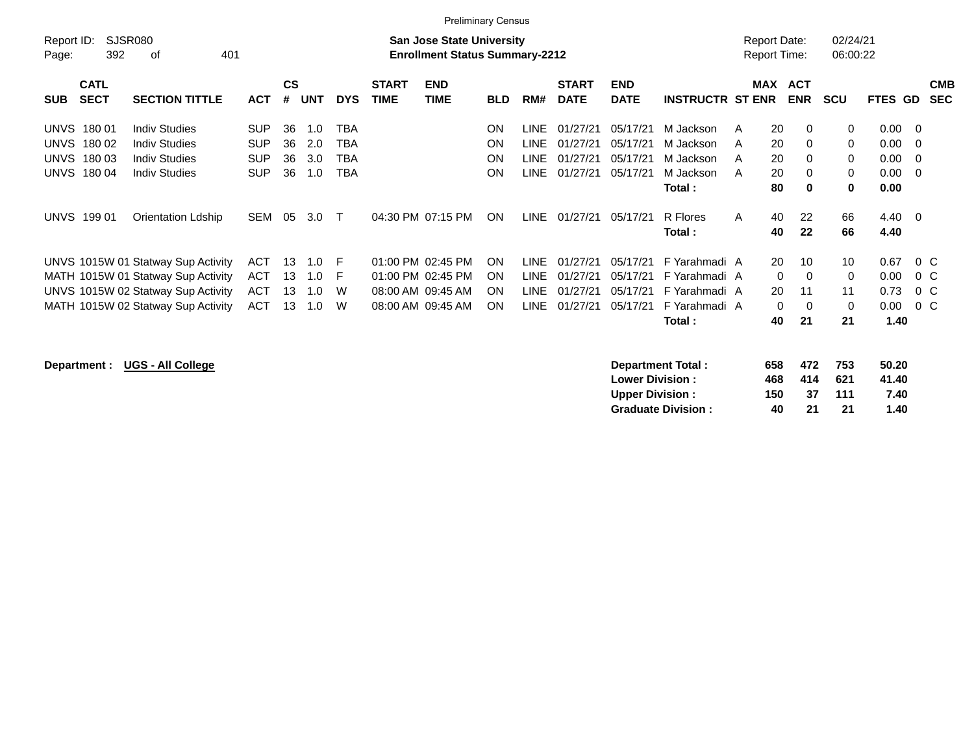|                                                                                                                                                                                                                                                   |                                                                                           |                                                                           |                                                                                  | <b>Preliminary Census</b>                                     |                                                                  |                                                          |                                                          |                                                                                        |                                                           |                                                 |                                                 |                                                                                                |                                         |
|---------------------------------------------------------------------------------------------------------------------------------------------------------------------------------------------------------------------------------------------------|-------------------------------------------------------------------------------------------|---------------------------------------------------------------------------|----------------------------------------------------------------------------------|---------------------------------------------------------------|------------------------------------------------------------------|----------------------------------------------------------|----------------------------------------------------------|----------------------------------------------------------------------------------------|-----------------------------------------------------------|-------------------------------------------------|-------------------------------------------------|------------------------------------------------------------------------------------------------|-----------------------------------------|
| <b>SJSR080</b><br>Report ID:<br>392<br>401<br>οf<br>Page:                                                                                                                                                                                         |                                                                                           | <b>San Jose State University</b><br><b>Enrollment Status Summary-2212</b> |                                                                                  |                                                               |                                                                  |                                                          |                                                          |                                                                                        |                                                           | Report Date:<br><b>Report Time:</b>             | 02/24/21<br>06:00:22                            |                                                                                                |                                         |
| <b>CATL</b><br><b>SECT</b><br><b>SECTION TITTLE</b><br><b>SUB</b>                                                                                                                                                                                 | <b>CS</b><br>#<br><b>ACT</b>                                                              | UNT<br><b>DYS</b>                                                         | <b>START</b><br><b>END</b><br><b>TIME</b><br><b>TIME</b>                         | <b>BLD</b>                                                    | RM#                                                              | <b>START</b><br><b>DATE</b>                              | <b>END</b><br><b>DATE</b>                                | <b>INSTRUCTR ST ENR</b>                                                                | <b>MAX</b>                                                | <b>ACT</b><br><b>ENR</b>                        | <b>SCU</b>                                      | <b>FTES GD</b>                                                                                 | <b>CMB</b><br><b>SEC</b>                |
| <b>UNVS</b><br><b>Indiv Studies</b><br>18001<br><b>UNVS</b><br><b>Indiv Studies</b><br>180 02<br><b>UNVS</b><br>180 03<br><b>Indiv Studies</b><br><b>UNVS</b><br>180 04<br><b>Indiv Studies</b><br><b>UNVS 19901</b><br><b>Orientation Ldship</b> | <b>SUP</b><br>36<br><b>SUP</b><br>36<br><b>SUP</b><br>36<br><b>SUP</b><br>36<br>SEM<br>05 | ТВА<br>1.0<br>2.0<br>TBA<br>3.0<br>TBA<br>1.0<br>TBA<br>3.0<br>$\top$     | 04:30 PM 07:15 PM                                                                | <b>ON</b><br><b>ON</b><br><b>ON</b><br><b>ON</b><br><b>ON</b> | <b>LINE</b><br><b>LINE</b><br><b>LINE</b><br><b>LINE</b><br>LINE | 01/27/21<br>01/27/21<br>01/27/21<br>01/27/21<br>01/27/21 | 05/17/21<br>05/17/21<br>05/17/21<br>05/17/21<br>05/17/21 | M Jackson<br>M Jackson<br>M Jackson<br>M Jackson<br>Total :<br>R Flores                | 20<br>A<br>20<br>A<br>20<br>A<br>20<br>A<br>80<br>A<br>40 | $\Omega$<br>0<br>0<br>0<br>$\bf{0}$<br>22       | 0<br>$\mathbf 0$<br>0<br>$\mathbf 0$<br>0<br>66 | $0.00 \quad 0$<br>$0.00 \quad 0$<br>$0.00 \quad 0$<br>$0.00 \quad 0$<br>0.00<br>$4.40 \quad 0$ |                                         |
| UNVS 1015W 01 Statway Sup Activity<br>MATH 1015W 01 Statway Sup Activity<br>UNVS 1015W 02 Statway Sup Activity<br>MATH 1015W 02 Statway Sup Activity                                                                                              | <b>ACT</b><br>13<br><b>ACT</b><br>13<br><b>ACT</b><br>13<br><b>ACT</b><br>13              | - F<br>1.0<br>1.0<br>- F<br>1.0<br>W<br>1.0<br>W                          | 01:00 PM 02:45 PM<br>01:00 PM 02:45 PM<br>08:00 AM 09:45 AM<br>08:00 AM 09:45 AM | <b>ON</b><br><b>ON</b><br><b>ON</b><br><b>ON</b>              | <b>LINE</b><br>LINE.<br>LINE.<br>LINE.                           | 01/27/21<br>01/27/21<br>01/27/21<br>01/27/21             | 05/17/21<br>05/17/21<br>05/17/21<br>05/17/21             | Total :<br>F Yarahmadi A<br>F Yarahmadi A<br>F Yarahmadi A<br>F Yarahmadi A<br>Total : | 40<br>20<br>0<br>20<br>$\Omega$<br>40                     | 22<br>10<br>$\mathbf 0$<br>11<br>$\Omega$<br>21 | 66<br>10<br>0<br>11<br>0<br>21                  | 4.40<br>0.67<br>0.00<br>0.73<br>0.00<br>1.40                                                   | $0\,C$<br>$0\,$ C<br>$0\,$ C<br>$0\,$ C |

**Department : UGS - All College** 

| Department Total:         | 658 | 472 | 753 | 50.20 |
|---------------------------|-----|-----|-----|-------|
| <b>Lower Division:</b>    | 468 | 414 | 621 | 41.40 |
| <b>Upper Division:</b>    | 150 | 37  | 111 | 7.40  |
| <b>Graduate Division:</b> | 40  | 21  | 21  | 1.40  |